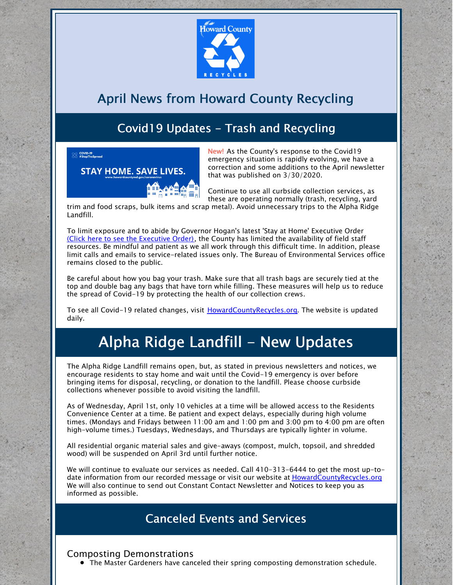

# April News from Howard County Recycling

## Covid19 Updates - Trash and Recycling



New! As the County's response to the Covid19 emergency situation is rapidly evolving, we have a correction and some additions to the April newsletter that was published on 3/30/2020.

Continue to use all curbside collection services, as these are operating normally (trash, recycling, yard

trim and food scraps, bulk items and scrap metal). Avoid unnecessary trips to the Alpha Ridge Landfill.

To limit exposure and to abide by Governor Hogan's latest 'Stay at Home' Executive Order (Click here to see the [Executive](https://governor.maryland.gov/covid-19-pandemic-orders-and-guidance/) Order), the County has limited the availability of field staff resources. Be mindful and patient as we all work through this difficult time. In addition, please limit calls and emails to service-related issues only. The Bureau of Environmental Services office remains closed to the public.

Be careful about how you bag your trash. Make sure that all trash bags are securely tied at the top and double bag any bags that have torn while filling. These measures will help us to reduce the spread of Covid-19 by protecting the health of our collection crews.

To see all Covid-19 related changes, visit [HowardCountyRecycles.org](http://www.howardcountyrecycles.org). The website is updated daily.

# Alpha Ridge Landfill - New Updates

The Alpha Ridge Landfill remains open, but, as stated in previous newsletters and notices, we encourage residents to stay home and wait until the Covid-19 emergency is over before bringing items for disposal, recycling, or donation to the landfill. Please choose curbside collections whenever possible to avoid visiting the landfill.

As of Wednesday, April 1st, only 10 vehicles at a time will be allowed access to the Residents Convenience Center at a time. Be patient and expect delays, especially during high volume times. (Mondays and Fridays between 11:00 am and 1:00 pm and 3:00 pm to 4:00 pm are often high-volume times.) Tuesdays, Wednesdays, and Thursdays are typically lighter in volume.

All residential organic material sales and give-aways (compost, mulch, topsoil, and shredded wood) will be suspended on April 3rd until further notice.

We will continue to evaluate our services as needed. Call 410-313-6444 to get the most up-todate information from our recorded message or visit our website at [HowardCountyRecycles.org](https://howardcountyrecycles.org) We will also continue to send out Constant Contact Newsletter and Notices to keep you as informed as possible.

### Canceled Events and Services

Composting Demonstrations

The Master Gardeners have canceled their spring composting demonstration schedule.